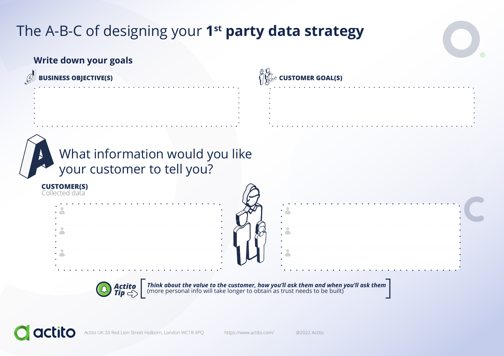# The A-B-C of designing your **1st party data strategy**

## **Write down your goals**







**Think about the value to the customer, how you'll ask them and when you'll ask them**<br>(more personal info will take longer to obtain as trust needs to be built)



Actito UK 20 Red Lion Street Holborn, London WC1R 4PQ https://www.actito.com/ @2022 Actito

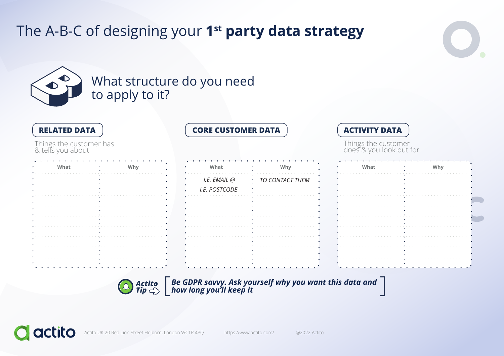## What structure do you need to apply to it?

| <b>RELATED DATA</b>                          |     | <b>CORE CUSTOMER DATA</b> |                   | <b>ACTIVITY DATA</b>                           |     |  |
|----------------------------------------------|-----|---------------------------|-------------------|------------------------------------------------|-----|--|
| Things the customer has<br>& tells you about |     |                           |                   | Things the customer<br>does & you look out for |     |  |
| What                                         | Why | What                      | Why               | What                                           | Why |  |
|                                              |     | I.E. EMAIL @              | · TO CONTACT THEM |                                                |     |  |
|                                              |     | I.E. POSTCODE             |                   |                                                |     |  |
|                                              |     |                           |                   |                                                |     |  |
|                                              |     |                           |                   |                                                |     |  |
|                                              |     |                           |                   |                                                |     |  |
|                                              |     |                           |                   |                                                |     |  |
|                                              |     |                           |                   |                                                |     |  |
|                                              |     |                           |                   |                                                |     |  |



Actito  $\begin{bmatrix} \textit{Be GDPR sawy. Ask yourself why you want this data and \ \textit{Tip} \begin{bmatrix} \end{bmatrix} \end{bmatrix}$ 



Actito UK 20 Red Lion Street Holborn, London WC1R 4PQ https://www.actito.com/ @2022 Actito





# The A-B-C of designing your **1st party data strategy**